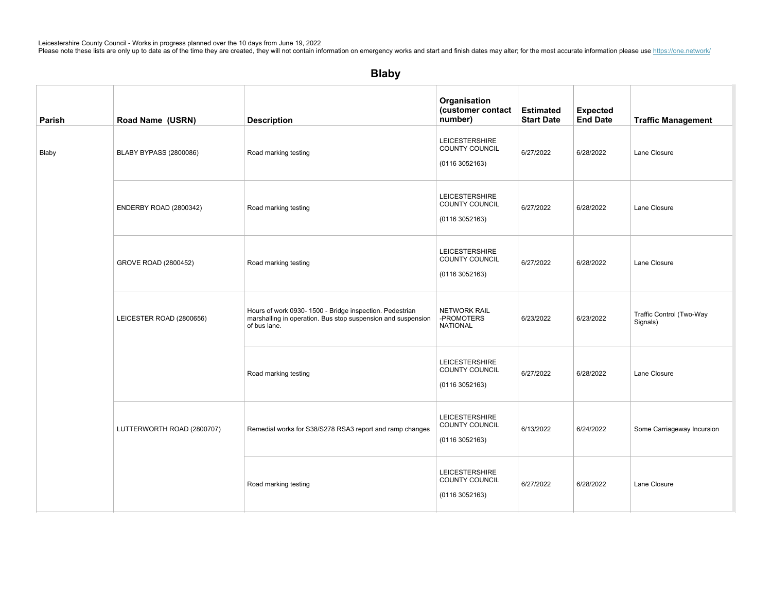| Parish | Road Name (USRN)           | <b>Description</b>                                                                                                                       | Organisation<br>(customer contact<br>number)                     | <b>Estimated</b><br><b>Start Date</b> | <b>Expected</b><br><b>End Date</b> | <b>Traffic Management</b>            |
|--------|----------------------------|------------------------------------------------------------------------------------------------------------------------------------------|------------------------------------------------------------------|---------------------------------------|------------------------------------|--------------------------------------|
| Blaby  | BLABY BYPASS (2800086)     | Road marking testing                                                                                                                     | <b>LEICESTERSHIRE</b><br><b>COUNTY COUNCIL</b><br>(01163052163)  | 6/27/2022                             | 6/28/2022                          | Lane Closure                         |
|        | ENDERBY ROAD (2800342)     | Road marking testing                                                                                                                     | <b>LEICESTERSHIRE</b><br>COUNTY COUNCIL<br>(01163052163)         | 6/27/2022                             | 6/28/2022                          | Lane Closure                         |
|        | GROVE ROAD (2800452)       | Road marking testing                                                                                                                     | <b>LEICESTERSHIRE</b><br><b>COUNTY COUNCIL</b><br>(01163052163)  | 6/27/2022                             | 6/28/2022                          | Lane Closure                         |
|        | LEICESTER ROAD (2800656)   | Hours of work 0930- 1500 - Bridge inspection. Pedestrian<br>marshalling in operation. Bus stop suspension and suspension<br>of bus lane. | NETWORK RAIL<br>-PROMOTERS<br><b>NATIONAL</b>                    | 6/23/2022                             | 6/23/2022                          | Traffic Control (Two-Way<br>Signals) |
|        |                            | Road marking testing                                                                                                                     | LEICESTERSHIRE<br><b>COUNTY COUNCIL</b><br>(01163052163)         | 6/27/2022                             | 6/28/2022                          | Lane Closure                         |
|        | LUTTERWORTH ROAD (2800707) | Remedial works for S38/S278 RSA3 report and ramp changes                                                                                 | <b>LEICESTERSHIRE</b><br>COUNTY COUNCIL<br>(01163052163)         | 6/13/2022                             | 6/24/2022                          | Some Carriageway Incursion           |
|        |                            | Road marking testing                                                                                                                     | <b>LEICESTERSHIRE</b><br><b>COUNTY COUNCIL</b><br>(0116 3052163) | 6/27/2022                             | 6/28/2022                          | Lane Closure                         |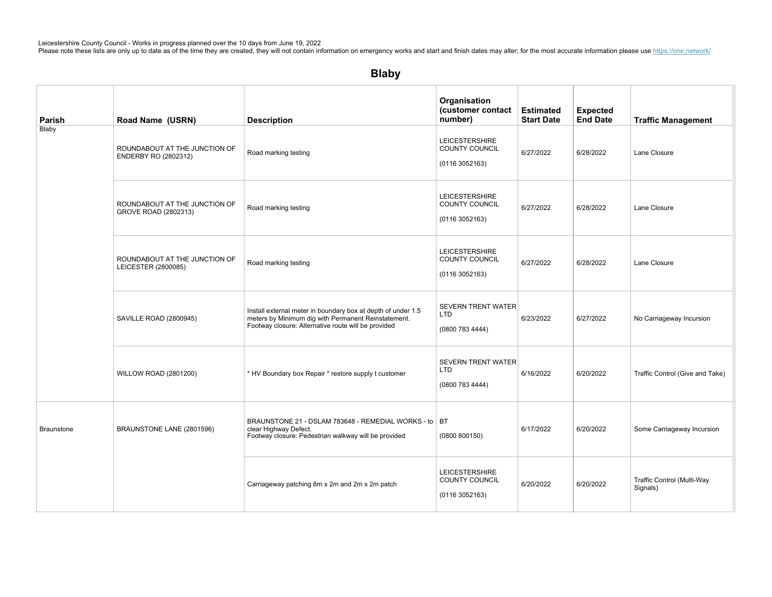| Parish            | Road Name (USRN)                                      | <b>Description</b>                                                                                                                                                         | Organisation<br>(customer contact<br>number)              | <b>Estimated</b><br><b>Start Date</b> | <b>Expected</b><br><b>End Date</b> | <b>Traffic Management</b>              |
|-------------------|-------------------------------------------------------|----------------------------------------------------------------------------------------------------------------------------------------------------------------------------|-----------------------------------------------------------|---------------------------------------|------------------------------------|----------------------------------------|
| Blaby             | ROUNDABOUT AT THE JUNCTION OF<br>ENDERBY RO (2802312) | Road marking testing                                                                                                                                                       | <b>LEICESTERSHIRE</b><br>COUNTY COUNCIL<br>(01163052163)  | 6/27/2022                             | 6/28/2022                          | Lane Closure                           |
|                   | ROUNDABOUT AT THE JUNCTION OF<br>GROVE ROAD (2802313) | Road marking testing                                                                                                                                                       | <b>LEICESTERSHIRE</b><br>COUNTY COUNCIL<br>(0116 3052163) | 6/27/2022                             | 6/28/2022                          | Lane Closure                           |
|                   | ROUNDABOUT AT THE JUNCTION OF<br>LEICESTER (2800085)  | Road marking testing                                                                                                                                                       | <b>LEICESTERSHIRE</b><br>COUNTY COUNCIL<br>(0116 3052163) | 6/27/2022                             | 6/28/2022                          | Lane Closure                           |
|                   | SAVILLE ROAD (2800945)                                | Install external meter in boundary box at depth of under 1.5<br>meters by Minimum dig with Permanent Reinstatement.<br>Footway closure: Alternative route will be provided | <b>SEVERN TRENT WATER</b><br>LTD<br>(0800 783 4444)       | 6/23/2022                             | 6/27/2022                          | No Carriageway Incursion               |
|                   | <b>WILLOW ROAD (2801200)</b>                          | * HV Boundary box Repair * restore supply t customer                                                                                                                       | <b>SEVERN TRENT WATER</b><br>LTD<br>(0800 783 4444)       | 6/16/2022                             | 6/20/2022                          | Traffic Control (Give and Take)        |
| <b>Braunstone</b> | BRAUNSTONE LANE (2801596)                             | BRAUNSTONE 21 - DSLAM 783648 - REMEDIAL WORKS - to   BT<br>clear Highway Defect.<br>Footway closure: Pedestrian walkway will be provided                                   | (0800 800150)                                             | 6/17/2022                             | 6/20/2022                          | Some Carriageway Incursion             |
|                   |                                                       | Carriageway patching 6m x 2m and 2m x 2m patch                                                                                                                             | <b>LEICESTERSHIRE</b><br>COUNTY COUNCIL<br>(01163052163)  | 6/20/2022                             | 6/20/2022                          | Traffic Control (Multi-Way<br>Signals) |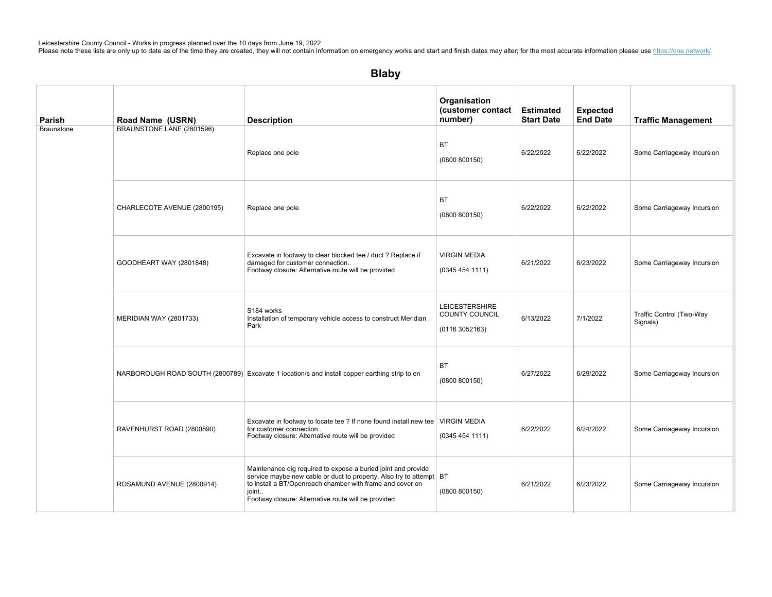| Parish            | Road Name (USRN)            | <b>Description</b>                                                                                                                                                                                                                                                | Organisation<br>(customer contact<br>number)             | <b>Estimated</b><br><b>Start Date</b> | <b>Expected</b><br><b>End Date</b> | <b>Traffic Management</b>            |
|-------------------|-----------------------------|-------------------------------------------------------------------------------------------------------------------------------------------------------------------------------------------------------------------------------------------------------------------|----------------------------------------------------------|---------------------------------------|------------------------------------|--------------------------------------|
| <b>Braunstone</b> | BRAUNSTONE LANE (2801596)   | Replace one pole                                                                                                                                                                                                                                                  | ВT<br>(0800 800150)                                      | 6/22/2022                             | 6/22/2022                          | Some Carriageway Incursion           |
|                   | CHARLECOTE AVENUE (2800195) | Replace one pole                                                                                                                                                                                                                                                  | <b>BT</b><br>(0800 800150)                               | 6/22/2022                             | 6/22/2022                          | Some Carriageway Incursion           |
|                   | GOODHEART WAY (2801848)     | Excavate in footway to clear blocked tee / duct ? Replace if<br>damaged for customer connection<br>Footway closure: Alternative route will be provided                                                                                                            | <b>VIRGIN MEDIA</b><br>(0345454111)                      | 6/21/2022                             | 6/23/2022                          | Some Carriageway Incursion           |
|                   | MERIDIAN WAY (2801733)      | S184 works<br>Installation of temporary vehicle access to construct Meridian<br>Park                                                                                                                                                                              | <b>LEICESTERSHIRE</b><br>COUNTY COUNCIL<br>(01163052163) | 6/13/2022                             | 7/1/2022                           | Traffic Control (Two-Way<br>Signals) |
|                   |                             | NARBOROUGH ROAD SOUTH (2800789) Excavate 1 location/s and install copper earthing strip to en                                                                                                                                                                     | <b>BT</b><br>(0800 800150)                               | 6/27/2022                             | 6/29/2022                          | Some Carriageway Incursion           |
|                   | RAVENHURST ROAD (2800890)   | Excavate in footway to locate tee ? If none found install new tee   VIRGIN MEDIA<br>for customer connection<br>Footway closure: Alternative route will be provided                                                                                                | (03454541111)                                            | 6/22/2022                             | 6/24/2022                          | Some Carriageway Incursion           |
|                   | ROSAMUND AVENUE (2800914)   | Maintenance dig required to expose a buried joint and provide<br>service maybe new cable or duct to property. Also try to attempt BT<br>to install a BT/Openreach chamber with frame and cover on<br>joint<br>Footway closure: Alternative route will be provided | (0800 800150)                                            | 6/21/2022                             | 6/23/2022                          | Some Carriageway Incursion           |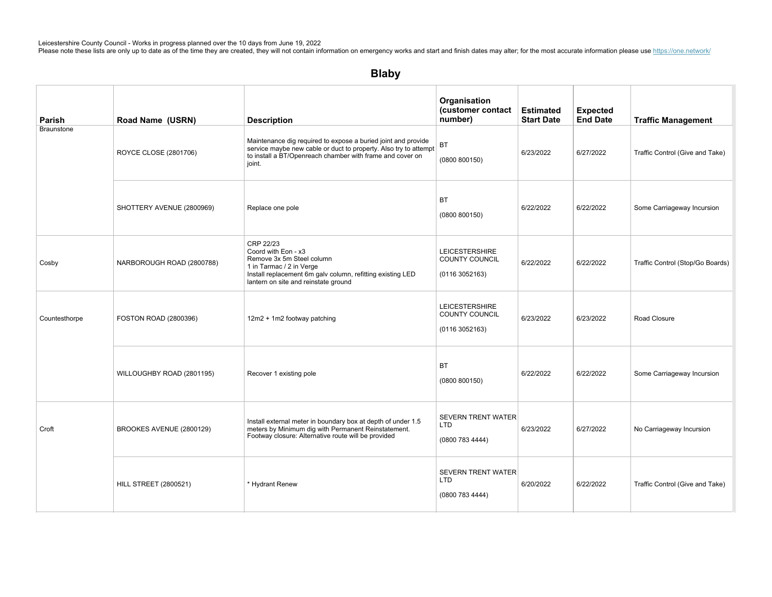| Parish        | Road Name (USRN)             | <b>Description</b>                                                                                                                                                                                       | Organisation<br>(customer contact<br>number)                    | <b>Estimated</b><br><b>Start Date</b> | <b>Expected</b><br><b>End Date</b> | <b>Traffic Management</b>        |
|---------------|------------------------------|----------------------------------------------------------------------------------------------------------------------------------------------------------------------------------------------------------|-----------------------------------------------------------------|---------------------------------------|------------------------------------|----------------------------------|
| Braunstone    | ROYCE CLOSE (2801706)        | Maintenance dig required to expose a buried joint and provide<br>service maybe new cable or duct to property. Also try to attempt<br>to install a BT/Openreach chamber with frame and cover on<br>joint. | <b>BT</b><br>(0800 800150)                                      | 6/23/2022                             | 6/27/2022                          | Traffic Control (Give and Take)  |
|               | SHOTTERY AVENUE (2800969)    | Replace one pole                                                                                                                                                                                         | <b>BT</b><br>(0800 800150)                                      | 6/22/2022                             | 6/22/2022                          | Some Carriageway Incursion       |
| Cosby         | NARBOROUGH ROAD (2800788)    | CRP 22/23<br>Coord with Eon - x3<br>Remove 3x 5m Steel column<br>1 in Tarmac / 2 in Verge<br>Install replacement 6m galv column, refitting existing LED<br>lantern on site and reinstate ground          | <b>LEICESTERSHIRE</b><br>COUNTY COUNCIL<br>(01163052163)        | 6/22/2022                             | 6/22/2022                          | Traffic Control (Stop/Go Boards) |
| Countesthorpe | FOSTON ROAD (2800396)        | 12m2 + 1m2 footway patching                                                                                                                                                                              | <b>LEICESTERSHIRE</b><br><b>COUNTY COUNCIL</b><br>(01163052163) | 6/23/2022                             | 6/23/2022                          | Road Closure                     |
|               | WILLOUGHBY ROAD (2801195)    | Recover 1 existing pole                                                                                                                                                                                  | BT<br>(0800 800150)                                             | 6/22/2022                             | 6/22/2022                          | Some Carriageway Incursion       |
| Croft         | BROOKES AVENUE (2800129)     | Install external meter in boundary box at depth of under 1.5<br>meters by Minimum dig with Permanent Reinstatement.<br>Footway closure: Alternative route will be provided                               | <b>SEVERN TRENT WATER</b><br>LTD<br>(0800 783 4444)             | 6/23/2022                             | 6/27/2022                          | No Carriageway Incursion         |
|               | <b>HILL STREET (2800521)</b> | * Hydrant Renew                                                                                                                                                                                          | <b>SEVERN TRENT WATER</b><br>LTD<br>(08007834444)               | 6/20/2022                             | 6/22/2022                          | Traffic Control (Give and Take)  |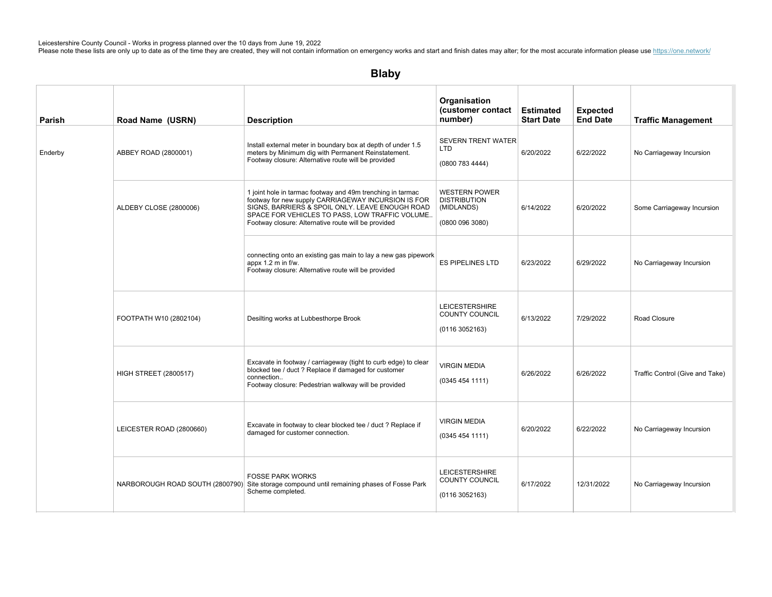| Parish  | Road Name (USRN)                | <b>Description</b>                                                                                                                                                                                                                                                            | Organisation<br>(customer contact<br>number)                                 | <b>Estimated</b><br><b>Start Date</b> | <b>Expected</b><br><b>End Date</b> | <b>Traffic Management</b>       |
|---------|---------------------------------|-------------------------------------------------------------------------------------------------------------------------------------------------------------------------------------------------------------------------------------------------------------------------------|------------------------------------------------------------------------------|---------------------------------------|------------------------------------|---------------------------------|
| Enderby | ABBEY ROAD (2800001)            | Install external meter in boundary box at depth of under 1.5<br>meters by Minimum dig with Permanent Reinstatement.<br>Footway closure: Alternative route will be provided                                                                                                    | <b>SEVERN TRENT WATER</b><br><b>LTD</b><br>(0800 783 4444)                   | 6/20/2022                             | 6/22/2022                          | No Carriageway Incursion        |
|         | ALDEBY CLOSE (2800006)          | 1 joint hole in tarmac footway and 49m trenching in tarmac<br>footway for new supply CARRIAGEWAY INCURSION IS FOR<br>SIGNS, BARRIERS & SPOIL ONLY. LEAVE ENOUGH ROAD<br>SPACE FOR VEHICLES TO PASS, LOW TRAFFIC VOLUME<br>Footway closure: Alternative route will be provided | <b>WESTERN POWER</b><br><b>DISTRIBUTION</b><br>(MIDLANDS)<br>(0800 096 3080) | 6/14/2022                             | 6/20/2022                          | Some Carriageway Incursion      |
|         |                                 | connecting onto an existing gas main to lay a new gas pipework<br>appx 1.2 m in f/w.<br>Footway closure: Alternative route will be provided                                                                                                                                   | <b>ES PIPELINES LTD</b>                                                      | 6/23/2022                             | 6/29/2022                          | No Carriageway Incursion        |
|         | FOOTPATH W10 (2802104)          | Desilting works at Lubbesthorpe Brook                                                                                                                                                                                                                                         | <b>LEICESTERSHIRE</b><br>COUNTY COUNCIL<br>(01163052163)                     | 6/13/2022                             | 7/29/2022                          | Road Closure                    |
|         | <b>HIGH STREET (2800517)</b>    | Excavate in footway / carriageway (tight to curb edge) to clear<br>blocked tee / duct ? Replace if damaged for customer<br>connection<br>Footway closure: Pedestrian walkway will be provided                                                                                 | <b>VIRGIN MEDIA</b><br>(03454541111)                                         | 6/26/2022                             | 6/26/2022                          | Traffic Control (Give and Take) |
|         | LEICESTER ROAD (2800660)        | Excavate in footway to clear blocked tee / duct ? Replace if<br>damaged for customer connection.                                                                                                                                                                              | <b>VIRGIN MEDIA</b><br>(0345454111)                                          | 6/20/2022                             | 6/22/2022                          | No Carriageway Incursion        |
|         | NARBOROUGH ROAD SOUTH (2800790) | <b>FOSSE PARK WORKS</b><br>Site storage compound until remaining phases of Fosse Park<br>Scheme completed.                                                                                                                                                                    | <b>LEICESTERSHIRE</b><br>COUNTY COUNCIL<br>(01163052163)                     | 6/17/2022                             | 12/31/2022                         | No Carriageway Incursion        |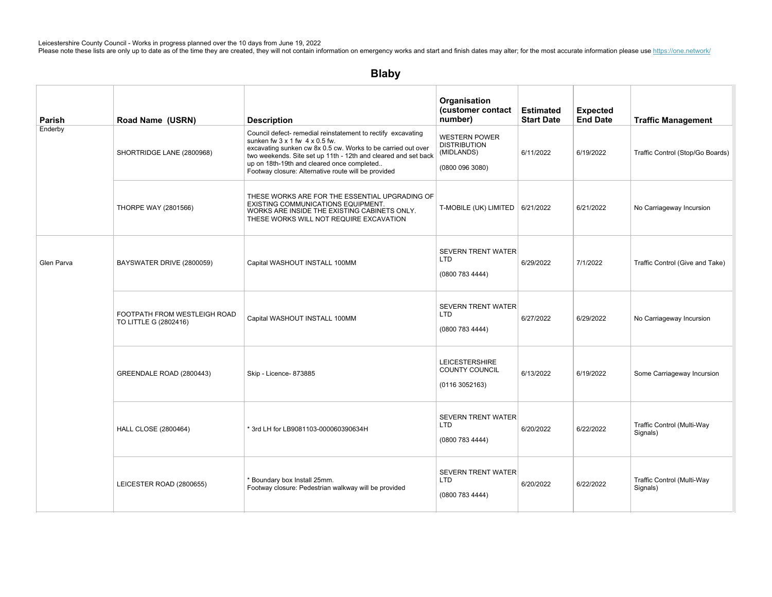| Parish     | Road Name (USRN)                                      | <b>Description</b>                                                                                                                                                                                                                                                                                                                                  | Organisation<br>(customer contact<br>number)                               | <b>Estimated</b><br><b>Start Date</b> | <b>Expected</b><br><b>End Date</b> | <b>Traffic Management</b>              |
|------------|-------------------------------------------------------|-----------------------------------------------------------------------------------------------------------------------------------------------------------------------------------------------------------------------------------------------------------------------------------------------------------------------------------------------------|----------------------------------------------------------------------------|---------------------------------------|------------------------------------|----------------------------------------|
| Enderby    | SHORTRIDGE LANE (2800968)                             | Council defect- remedial reinstatement to rectify excavating<br>sunken fw $3 \times 1$ fw $4 \times 0.5$ fw.<br>excavating sunken cw 8x 0.5 cw. Works to be carried out over<br>two weekends. Site set up 11th - 12th and cleared and set back<br>up on 18th-19th and cleared once completed<br>Footway closure: Alternative route will be provided | <b>WESTERN POWER</b><br><b>DISTRIBUTION</b><br>(MIDLANDS)<br>(08000963080) | 6/11/2022                             | 6/19/2022                          | Traffic Control (Stop/Go Boards)       |
|            | <b>THORPE WAY (2801566)</b>                           | THESE WORKS ARE FOR THE ESSENTIAL UPGRADING OF<br>EXISTING COMMUNICATIONS EQUIPMENT.<br>WORKS ARE INSIDE THE EXISTING CABINETS ONLY.<br>THESE WORKS WILL NOT REQUIRE EXCAVATION                                                                                                                                                                     | T-MOBILE (UK) LIMITED $\vert$ 6/21/2022                                    |                                       | 6/21/2022                          | No Carriageway Incursion               |
| Glen Parva | BAYSWATER DRIVE (2800059)                             | Capital WASHOUT INSTALL 100MM                                                                                                                                                                                                                                                                                                                       | <b>SEVERN TRENT WATER</b><br><b>LTD</b><br>(0800783444)                    | 6/29/2022                             | 7/1/2022                           | Traffic Control (Give and Take)        |
|            | FOOTPATH FROM WESTLEIGH ROAD<br>TO LITTLE G (2802416) | Capital WASHOUT INSTALL 100MM                                                                                                                                                                                                                                                                                                                       | <b>SEVERN TRENT WATER</b><br><b>LTD</b><br>(0800 783 4444)                 | 6/27/2022                             | 6/29/2022                          | No Carriageway Incursion               |
|            | GREENDALE ROAD (2800443)                              | Skip - Licence- 873885                                                                                                                                                                                                                                                                                                                              | <b>LEICESTERSHIRE</b><br>COUNTY COUNCIL<br>(0116 3052163)                  | 6/13/2022                             | 6/19/2022                          | Some Carriageway Incursion             |
|            | <b>HALL CLOSE (2800464)</b>                           | * 3rd LH for LB9081103-000060390634H                                                                                                                                                                                                                                                                                                                | <b>SEVERN TRENT WATER</b><br>LTD.<br>(0800 783 4444)                       | 6/20/2022                             | 6/22/2022                          | Traffic Control (Multi-Way<br>Signals) |
|            | LEICESTER ROAD (2800655)                              | * Boundary box Install 25mm.<br>Footway closure: Pedestrian walkway will be provided                                                                                                                                                                                                                                                                | <b>SEVERN TRENT WATER</b><br>LTD<br>(08007834444)                          | 6/20/2022                             | 6/22/2022                          | Traffic Control (Multi-Way<br>Signals) |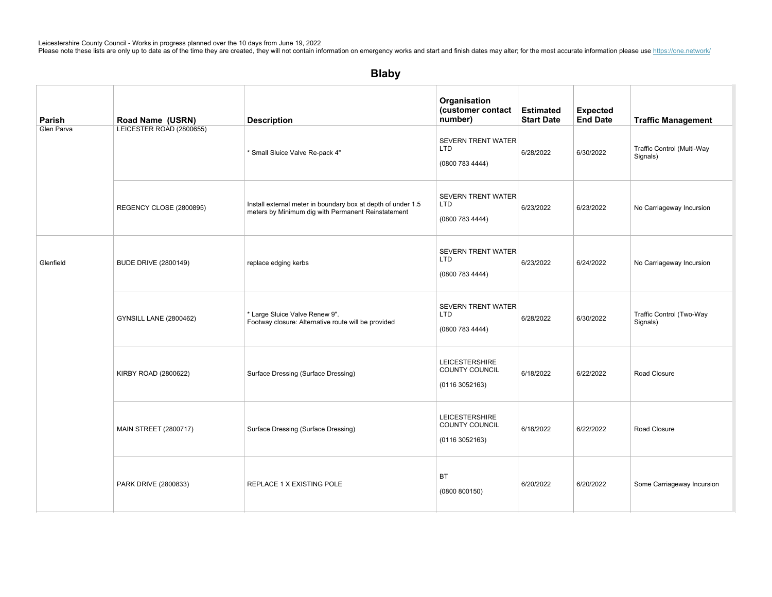| Parish     | Road Name (USRN)              | <b>Description</b>                                                                                                 | Organisation<br>(customer contact<br>number)               | <b>Estimated</b><br><b>Start Date</b> | <b>Expected</b><br><b>End Date</b> | <b>Traffic Management</b>              |
|------------|-------------------------------|--------------------------------------------------------------------------------------------------------------------|------------------------------------------------------------|---------------------------------------|------------------------------------|----------------------------------------|
| Glen Parva | LEICESTER ROAD (2800655)      | * Small Sluice Valve Re-pack 4"                                                                                    | <b>SEVERN TRENT WATER</b><br><b>LTD</b><br>(0800 783 4444) | 6/28/2022                             | 6/30/2022                          | Traffic Control (Multi-Way<br>Signals) |
|            | REGENCY CLOSE (2800895)       | Install external meter in boundary box at depth of under 1.5<br>meters by Minimum dig with Permanent Reinstatement | <b>SEVERN TRENT WATER</b><br><b>LTD</b><br>(0800 783 4444) | 6/23/2022                             | 6/23/2022                          | No Carriageway Incursion               |
| Glenfield  | <b>BUDE DRIVE (2800149)</b>   | replace edging kerbs                                                                                               | <b>SEVERN TRENT WATER</b><br><b>LTD</b><br>(0800 783 4444) | 6/23/2022                             | 6/24/2022                          | No Carriageway Incursion               |
|            | <b>GYNSILL LANE (2800462)</b> | * Large Sluice Valve Renew 9".<br>Footway closure: Alternative route will be provided                              | <b>SEVERN TRENT WATER</b><br><b>LTD</b><br>(0800 783 4444) | 6/28/2022                             | 6/30/2022                          | Traffic Control (Two-Way<br>Signals)   |
|            | KIRBY ROAD (2800622)          | Surface Dressing (Surface Dressing)                                                                                | <b>LEICESTERSHIRE</b><br>COUNTY COUNCIL<br>(01163052163)   | 6/18/2022                             | 6/22/2022                          | Road Closure                           |
|            | <b>MAIN STREET (2800717)</b>  | Surface Dressing (Surface Dressing)                                                                                | <b>LEICESTERSHIRE</b><br>COUNTY COUNCIL<br>(01163052163)   | 6/18/2022                             | 6/22/2022                          | Road Closure                           |
|            | PARK DRIVE (2800833)          | REPLACE 1 X EXISTING POLE                                                                                          | <b>BT</b><br>(0800 800150)                                 | 6/20/2022                             | 6/20/2022                          | Some Carriageway Incursion             |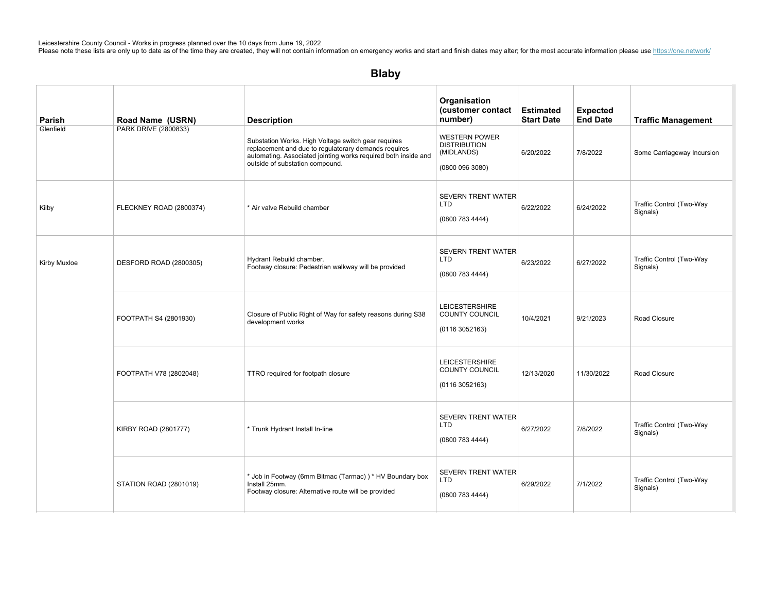| Parish       | Road Name (USRN)        | <b>Description</b>                                                                                                                                                                                               | Organisation<br>(customer contact<br>number)                                 | <b>Estimated</b><br><b>Start Date</b> | <b>Expected</b><br><b>End Date</b> | <b>Traffic Management</b>            |
|--------------|-------------------------|------------------------------------------------------------------------------------------------------------------------------------------------------------------------------------------------------------------|------------------------------------------------------------------------------|---------------------------------------|------------------------------------|--------------------------------------|
| Glenfield    | PARK DRIVE (2800833)    | Substation Works. High Voltage switch gear requires<br>replacement and due to regulatorary demands requires<br>automating. Associated jointing works required both inside and<br>outside of substation compound. | <b>WESTERN POWER</b><br><b>DISTRIBUTION</b><br>(MIDLANDS)<br>(0800 096 3080) | 6/20/2022                             | 7/8/2022                           | Some Carriageway Incursion           |
| Kilby        | FLECKNEY ROAD (2800374) | * Air valve Rebuild chamber                                                                                                                                                                                      | <b>SEVERN TRENT WATER</b><br><b>LTD</b><br>(0800 783 4444)                   | 6/22/2022                             | 6/24/2022                          | Traffic Control (Two-Way<br>Signals) |
| Kirby Muxloe | DESFORD ROAD (2800305)  | Hydrant Rebuild chamber.<br>Footway closure: Pedestrian walkway will be provided                                                                                                                                 | SEVERN TRENT WATER<br><b>LTD</b><br>(0800 783 4444)                          | 6/23/2022                             | 6/27/2022                          | Traffic Control (Two-Way<br>Signals) |
|              | FOOTPATH S4 (2801930)   | Closure of Public Right of Way for safety reasons during S38<br>development works                                                                                                                                | <b>LEICESTERSHIRE</b><br><b>COUNTY COUNCIL</b><br>(01163052163)              | 10/4/2021                             | 9/21/2023                          | Road Closure                         |
|              | FOOTPATH V78 (2802048)  | TTRO required for footpath closure                                                                                                                                                                               | <b>LEICESTERSHIRE</b><br><b>COUNTY COUNCIL</b><br>(01163052163)              | 12/13/2020                            | 11/30/2022                         | Road Closure                         |
|              | KIRBY ROAD (2801777)    | * Trunk Hydrant Install In-line                                                                                                                                                                                  | <b>SEVERN TRENT WATER</b><br><b>LTD</b><br>(0800 783 4444)                   | 6/27/2022                             | 7/8/2022                           | Traffic Control (Two-Way<br>Signals) |
|              | STATION ROAD (2801019)  | * Job in Footway (6mm Bitmac (Tarmac)) * HV Boundary box<br>Install 25mm.<br>Footway closure: Alternative route will be provided                                                                                 | <b>SEVERN TRENT WATER</b><br><b>LTD</b><br>(0800 783 4444)                   | 6/29/2022                             | 7/1/2022                           | Traffic Control (Two-Way<br>Signals) |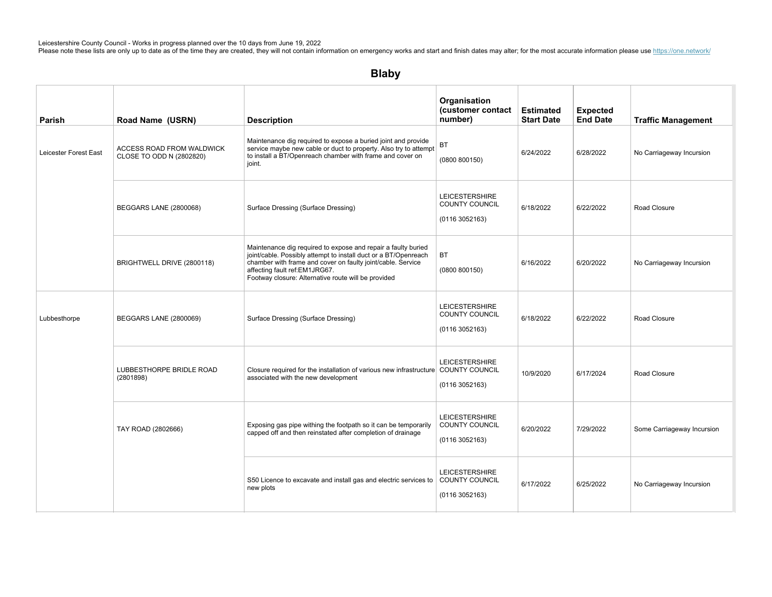| Parish                | Road Name (USRN)                                      | <b>Description</b>                                                                                                                                                                                                                                                                      | Organisation<br>(customer contact<br>number)                     | <b>Estimated</b><br><b>Start Date</b> | <b>Expected</b><br><b>End Date</b> | <b>Traffic Management</b>  |
|-----------------------|-------------------------------------------------------|-----------------------------------------------------------------------------------------------------------------------------------------------------------------------------------------------------------------------------------------------------------------------------------------|------------------------------------------------------------------|---------------------------------------|------------------------------------|----------------------------|
| Leicester Forest East | ACCESS ROAD FROM WALDWICK<br>CLOSE TO ODD N (2802820) | Maintenance dig required to expose a buried joint and provide<br>service maybe new cable or duct to property. Also try to attempt<br>to install a BT/Openreach chamber with frame and cover on<br>joint.                                                                                | ВT<br>(0800 800150)                                              | 6/24/2022                             | 6/28/2022                          | No Carriageway Incursion   |
|                       | BEGGARS LANE (2800068)                                | Surface Dressing (Surface Dressing)                                                                                                                                                                                                                                                     | <b>LEICESTERSHIRE</b><br>COUNTY COUNCIL<br>(01163052163)         | 6/18/2022                             | 6/22/2022                          | Road Closure               |
|                       | BRIGHTWELL DRIVE (2800118)                            | Maintenance dig required to expose and repair a faulty buried<br>joint/cable. Possibly attempt to install duct or a BT/Openreach<br>chamber with frame and cover on faulty joint/cable. Service<br>affecting fault ref:EM1JRG67.<br>Footway closure: Alternative route will be provided | <b>BT</b><br>(0800 800150)                                       | 6/16/2022                             | 6/20/2022                          | No Carriageway Incursion   |
| Lubbesthorpe          | BEGGARS LANE (2800069)                                | Surface Dressing (Surface Dressing)                                                                                                                                                                                                                                                     | <b>LEICESTERSHIRE</b><br>COUNTY COUNCIL<br>(0116 3052163)        | 6/18/2022                             | 6/22/2022                          | Road Closure               |
|                       | LUBBESTHORPE BRIDLE ROAD<br>(2801898)                 | Closure required for the installation of various new infrastructure COUNTY COUNCIL<br>associated with the new development                                                                                                                                                               | <b>LEICESTERSHIRE</b><br>(01163052163)                           | 10/9/2020                             | 6/17/2024                          | Road Closure               |
|                       | TAY ROAD (2802666)                                    | Exposing gas pipe withing the footpath so it can be temporarily<br>capped off and then reinstated after completion of drainage                                                                                                                                                          | <b>LEICESTERSHIRE</b><br><b>COUNTY COUNCIL</b><br>(0116 3052163) | 6/20/2022                             | 7/29/2022                          | Some Carriageway Incursion |
|                       |                                                       | S50 Licence to excavate and install gas and electric services to<br>new plots                                                                                                                                                                                                           | <b>LEICESTERSHIRE</b><br>COUNTY COUNCIL<br>(01163052163)         | 6/17/2022                             | 6/25/2022                          | No Carriageway Incursion   |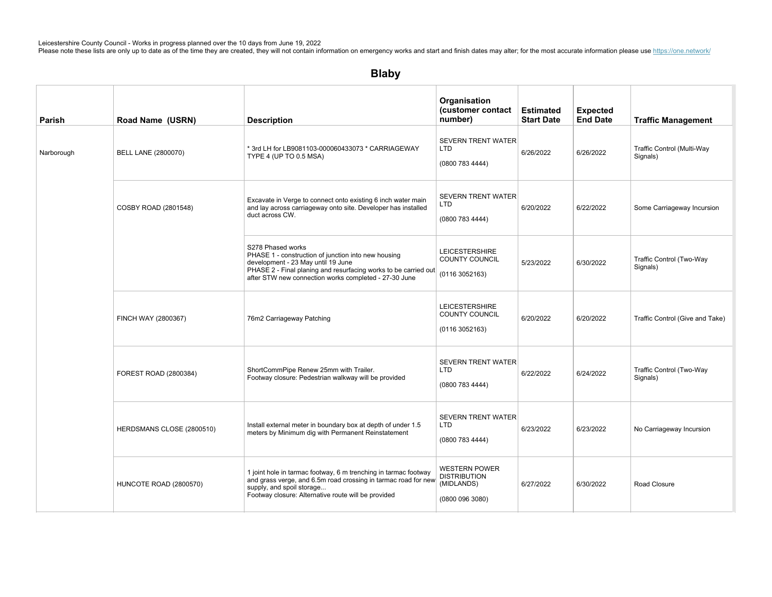| Parish     | Road Name (USRN)           | <b>Description</b>                                                                                                                                                                                                                         | Organisation<br>(customer contact<br>number)                                 | <b>Estimated</b><br><b>Start Date</b> | <b>Expected</b><br><b>End Date</b> | <b>Traffic Management</b>              |
|------------|----------------------------|--------------------------------------------------------------------------------------------------------------------------------------------------------------------------------------------------------------------------------------------|------------------------------------------------------------------------------|---------------------------------------|------------------------------------|----------------------------------------|
| Narborough | <b>BELL LANE (2800070)</b> | * 3rd LH for LB9081103-000060433073 * CARRIAGEWAY<br>TYPE 4 (UP TO 0.5 MSA)                                                                                                                                                                | <b>SEVERN TRENT WATER</b><br><b>LTD</b><br>(0800 783 4444)                   | 6/26/2022                             | 6/26/2022                          | Traffic Control (Multi-Way<br>Signals) |
|            | COSBY ROAD (2801548)       | Excavate in Verge to connect onto existing 6 inch water main<br>and lay across carriageway onto site. Developer has installed<br>duct across CW.                                                                                           | <b>SEVERN TRENT WATER</b><br><b>LTD</b><br>(0800 783 4444)                   | 6/20/2022                             | 6/22/2022                          | Some Carriageway Incursion             |
|            |                            | S278 Phased works<br>PHASE 1 - construction of junction into new housing<br>development - 23 May until 19 June<br>PHASE 2 - Final planing and resurfacing works to be carried out<br>after STW new connection works completed - 27-30 June | <b>LEICESTERSHIRE</b><br>COUNTY COUNCIL<br>(0116 3052163)                    | 5/23/2022                             | 6/30/2022                          | Traffic Control (Two-Way<br>Signals)   |
|            | FINCH WAY (2800367)        | 76m2 Carriageway Patching                                                                                                                                                                                                                  | <b>LEICESTERSHIRE</b><br>COUNTY COUNCIL<br>(01163052163)                     | 6/20/2022                             | 6/20/2022                          | Traffic Control (Give and Take)        |
|            | FOREST ROAD (2800384)      | ShortCommPipe Renew 25mm with Trailer.<br>Footway closure: Pedestrian walkway will be provided                                                                                                                                             | <b>SEVERN TRENT WATER</b><br>LTD<br>(0800 783 4444)                          | 6/22/2022                             | 6/24/2022                          | Traffic Control (Two-Way<br>Signals)   |
|            | HERDSMANS CLOSE (2800510)  | Install external meter in boundary box at depth of under 1.5<br>meters by Minimum dig with Permanent Reinstatement                                                                                                                         | <b>SEVERN TRENT WATER</b><br><b>LTD</b><br>(0800 783 4444)                   | 6/23/2022                             | 6/23/2022                          | No Carriageway Incursion               |
|            | HUNCOTE ROAD (2800570)     | 1 joint hole in tarmac footway, 6 m trenching in tarmac footway<br>and grass verge, and 6.5m road crossing in tarmac road for new<br>supply, and spoil storage<br>Footway closure: Alternative route will be provided                      | <b>WESTERN POWER</b><br><b>DISTRIBUTION</b><br>(MIDLANDS)<br>(0800 096 3080) | 6/27/2022                             | 6/30/2022                          | Road Closure                           |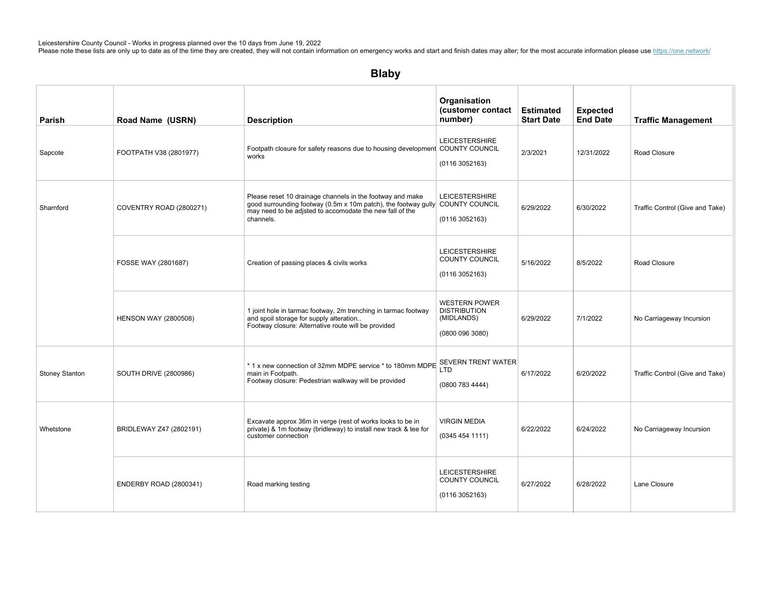# Blaby

| Parish                | Road Name (USRN)             | <b>Description</b>                                                                                                                                                                                                  | Organisation<br>(customer contact<br>number)                                 | <b>Estimated</b><br><b>Start Date</b> | <b>Expected</b><br><b>End Date</b> | <b>Traffic Management</b>       |
|-----------------------|------------------------------|---------------------------------------------------------------------------------------------------------------------------------------------------------------------------------------------------------------------|------------------------------------------------------------------------------|---------------------------------------|------------------------------------|---------------------------------|
| Sapcote               | FOOTPATH V38 (2801977)       | Footpath closure for safety reasons due to housing development COUNTY COUNCIL<br>works                                                                                                                              | <b>LEICESTERSHIRE</b><br>(01163052163)                                       | 2/3/2021                              | 12/31/2022                         | Road Closure                    |
| Sharnford             | COVENTRY ROAD (2800271)      | Please reset 10 drainage channels in the footway and make<br>good surrounding footway (0.5m x 10m patch), the footway gully COUNTY COUNCIL<br>may need to be adjsted to accomodate the new fall of the<br>channels. | <b>LEICESTERSHIRE</b><br>(01163052163)                                       | 6/29/2022                             | 6/30/2022                          | Traffic Control (Give and Take) |
|                       | FOSSE WAY (2801687)          | Creation of passing places & civils works                                                                                                                                                                           | <b>LEICESTERSHIRE</b><br>COUNTY COUNCIL<br>(01163052163)                     | 5/16/2022                             | 8/5/2022                           | Road Closure                    |
|                       | <b>HENSON WAY (2800508)</b>  | 1 joint hole in tarmac footway, 2m trenching in tarmac footway<br>and spoil storage for supply alteration<br>Footway closure: Alternative route will be provided                                                    | <b>WESTERN POWER</b><br><b>DISTRIBUTION</b><br>(MIDLANDS)<br>(0800 096 3080) | 6/29/2022                             | 7/1/2022                           | No Carriageway Incursion        |
| <b>Stoney Stanton</b> | <b>SOUTH DRIVE (2800986)</b> | * 1 x new connection of 32mm MDPE service * to 180mm MDPE SEVERN TRENT WATER<br>main in Footpath.<br>Footway closure: Pedestrian walkway will be provided                                                           | (0800 783 4444)                                                              | 6/17/2022                             | 6/20/2022                          | Traffic Control (Give and Take) |
| Whetstone             | BRIDLEWAY Z47 (2802191)      | Excavate approx 36m in verge (rest of works looks to be in<br>private) & 1m footway (bridleway) to install new track & tee for<br>customer connection                                                               | <b>VIRGIN MEDIA</b><br>(03454541111)                                         | 6/22/2022                             | 6/24/2022                          | No Carriageway Incursion        |
|                       | ENDERBY ROAD (2800341)       | Road marking testing                                                                                                                                                                                                | <b>LEICESTERSHIRE</b><br>COUNTY COUNCIL<br>(01163052163)                     | 6/27/2022                             | 6/28/2022                          | Lane Closure                    |

SEVERNTRENTWATER

GREENFIELDS(2800444) Installexternalmeterinboundaryboxatdepthofunder1.5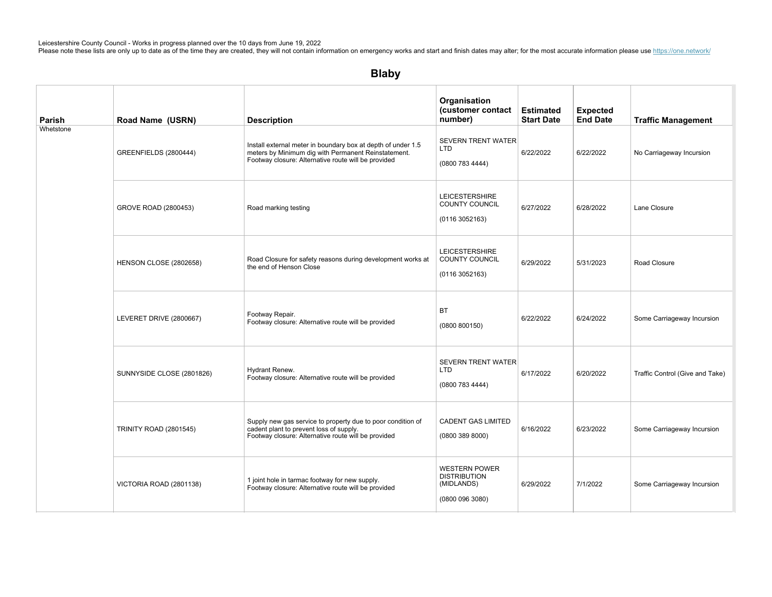| Parish    | Road Name (USRN)              | <b>Description</b>                                                                                                                                                         | Organisation<br>(customer contact<br>number)                                 | <b>Estimated</b><br><b>Start Date</b> | <b>Expected</b><br><b>End Date</b> | <b>Traffic Management</b>       |
|-----------|-------------------------------|----------------------------------------------------------------------------------------------------------------------------------------------------------------------------|------------------------------------------------------------------------------|---------------------------------------|------------------------------------|---------------------------------|
| Whetstone | GREENFIELDS (2800444)         | Install external meter in boundary box at depth of under 1.5<br>meters by Minimum dig with Permanent Reinstatement.<br>Footway closure: Alternative route will be provided | <b>SEVERN TRENT WATER</b><br><b>LTD</b><br>(0800 783 4444)                   | 6/22/2022                             | 6/22/2022                          | No Carriageway Incursion        |
|           | GROVE ROAD (2800453)          | Road marking testing                                                                                                                                                       | <b>LEICESTERSHIRE</b><br><b>COUNTY COUNCIL</b><br>(01163052163)              | 6/27/2022                             | 6/28/2022                          | Lane Closure                    |
|           | HENSON CLOSE (2802658)        | Road Closure for safety reasons during development works at<br>the end of Henson Close                                                                                     | <b>LEICESTERSHIRE</b><br>COUNTY COUNCIL<br>(0116 3052163)                    | 6/29/2022                             | 5/31/2023                          | Road Closure                    |
|           | LEVERET DRIVE (2800667)       | Footway Repair.<br>Footway closure: Alternative route will be provided                                                                                                     | <b>BT</b><br>(0800 800150)                                                   | 6/22/2022                             | 6/24/2022                          | Some Carriageway Incursion      |
|           | SUNNYSIDE CLOSE (2801826)     | Hydrant Renew.<br>Footway closure: Alternative route will be provided                                                                                                      | <b>SEVERN TRENT WATER</b><br><b>LTD</b><br>(0800 783 4444)                   | 6/17/2022                             | 6/20/2022                          | Traffic Control (Give and Take) |
|           | <b>TRINITY ROAD (2801545)</b> | Supply new gas service to property due to poor condition of<br>cadent plant to prevent loss of supply.<br>Footway closure: Alternative route will be provided              | <b>CADENT GAS LIMITED</b><br>(0800 389 8000)                                 | 6/16/2022                             | 6/23/2022                          | Some Carriageway Incursion      |
|           | VICTORIA ROAD (2801138)       | 1 joint hole in tarmac footway for new supply.<br>Footway closure: Alternative route will be provided                                                                      | <b>WESTERN POWER</b><br><b>DISTRIBUTION</b><br>(MIDLANDS)<br>(0800 096 3080) | 6/29/2022                             | 7/1/2022                           | Some Carriageway Incursion      |